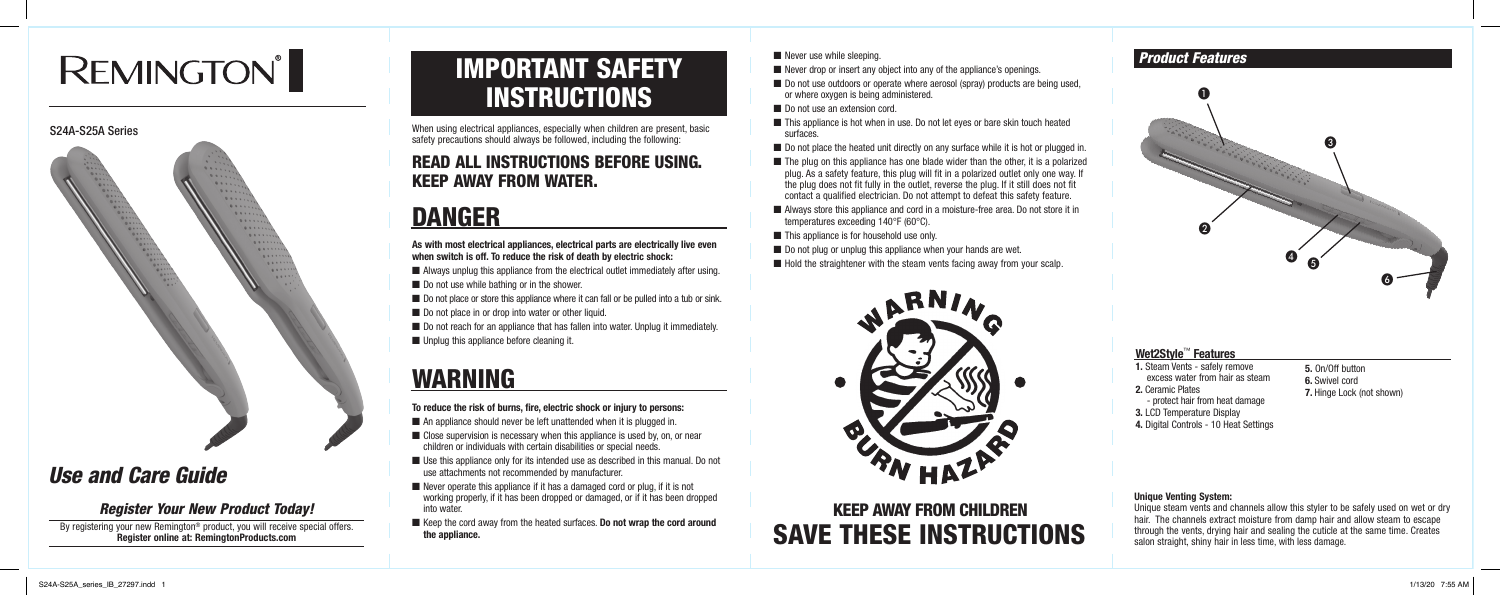## IMPORTANT SAFETY **INSTRUCTIONS**

When using electrical appliances, especially when children are present, basic safety precautions should always be followed, including the following:

## READ ALL INSTRUCTIONS BEFORE USING. KEEP AWAY FROM WATER.

## DANGER

**As with most electrical appliances, electrical parts are electrically live even when switch is off. To reduce the risk of death by electric shock:**

- Always unplug this appliance from the electrical outlet immediately after using.
- Do not use while bathing or in the shower.
- Do not place or store this appliance where it can fall or be pulled into a tub or sink.
- Do not place in or drop into water or other liquid.
- Do not reach for an appliance that has fallen into water. Unplug it immediately.
- Unplug this appliance before cleaning it.

- $\blacksquare$  An appliance should never be left unattended when it is plugged in.
- Close supervision is necessary when this appliance is used by, on, or near children or individuals with certain disabilities or special needs.
- Use this appliance only for its intended use as described in this manual. Do not use attachments not recommended by manufacturer.
- Never operate this appliance if it has a damaged cord or plug, if it is not working properly, if it has been dropped or damaged, or if it has been dropped into water.
- Keep the cord away from the heated surfaces. **Do not wrap the cord around the appliance.**

## ■ Never use while sleeping.

- $\blacksquare$  Never drop or insert any object into any of the appliance's openings.
- Do not use outdoors or operate where aerosol (spray) products are being used, or where oxygen is being administered.
- Do not use an extension cord.
- This appliance is hot when in use. Do not let eyes or bare skin touch heated surfaces.
- Do not place the heated unit directly on any surface while it is hot or plugged in.
- $\blacksquare$  The plug on this appliance has one blade wider than the other, it is a polarized plug. As a safety feature, this plug will fit in a polarized outlet only one way. If the plug does not fit fully in the outlet, reverse the plug. If it still does not fit contact a qualified electrician. Do not attempt to defeat this safety feature.
- Always store this appliance and cord in a moisture-free area. Do not store it in temperatures exceeding 140°F (60°C).
- This appliance is for household use only.
- Do not plug or unplug this appliance when your hands are wet.
- $\blacksquare$  Hold the straightener with the steam vents facing away from your scalp.



## WARNING

## **To reduce the risk of burns, fire, electric shock or injury to persons:**

SAVE THESE INSTRUCTIONS KEEP AWAY FROM CHILDREN

## *Product Features*

### **Wet2Style**™ **Features**

- **1.** Steam Vents safely remove excess water from hair as steam
- **2.** Ceramic Plates - protect hair from heat damage
- **3.** LCD Temperature Display
- **4.** Digital Controls 10 Heat Settings
- **5.** On/Off button
- **6.** Swivel cord
- **7.** Hinge Lock (not shown)

#### **Unique Venting System:**

Unique steam vents and channels allow this styler to be safely used on wet or dry hair. The channels extract moisture from damp hair and allow steam to escape through the vents, drying hair and sealing the cuticle at the same time. Creates salon straight, shiny hair in less time, with less damage.

## *Use and Care Guide*

# **REMINGTON®**

### S24A-S25A Series



## *Register Your New Product Today!*

By registering your new Remington® product, you will receive special offers. **Register online at: RemingtonProducts.com**